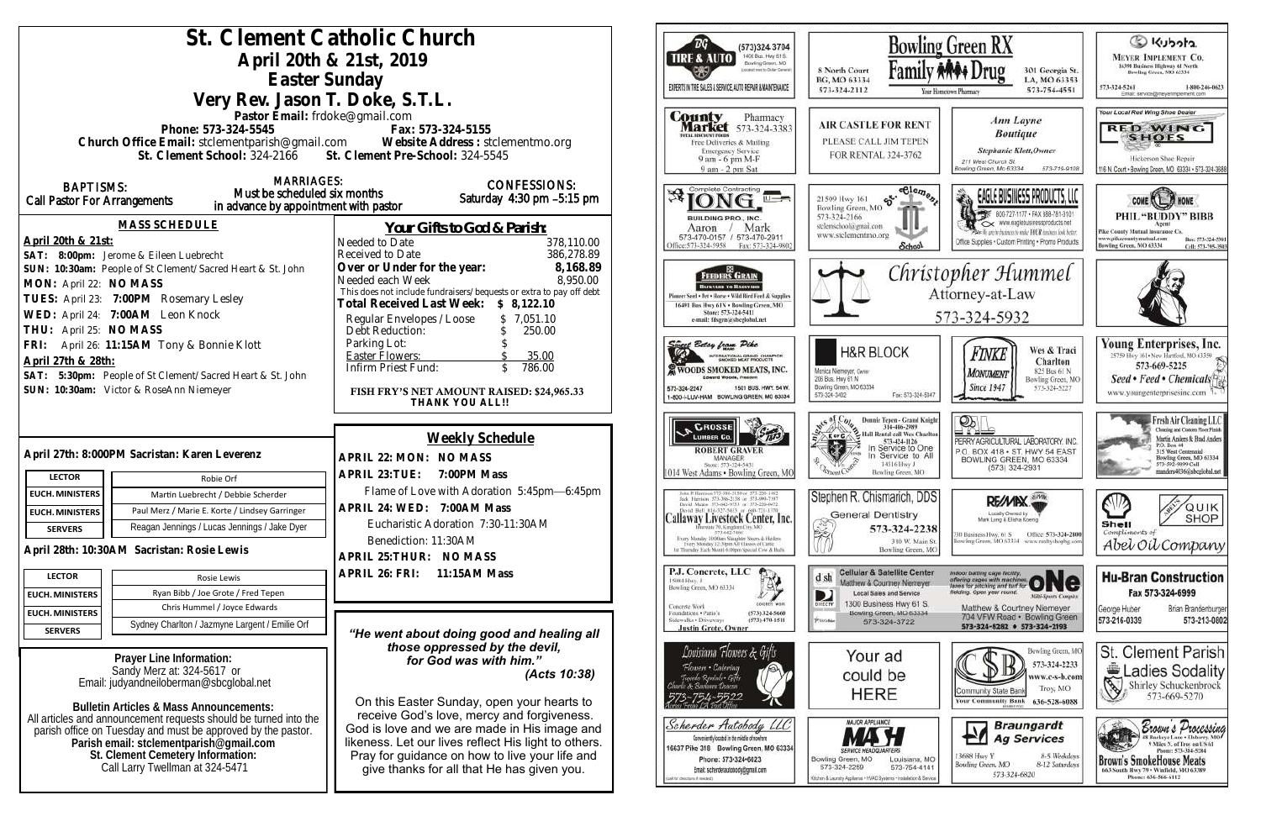| St. Clement Catholic Church<br>(573)324 3704<br>1400 Busi. Hwy 61 S.<br>April 20th & 21st, 2019<br><b>TIRE &amp; AUTO</b><br>Bowling Green, MO<br>Economist west to Dorbin General's<br>Easter Sunday<br>EXPERTS IN THE SALES & SERVICE, AUTO REPAIR & MAINTENANCE<br>Very Rev. Jason T. Doke, S.T.L.     |                                                                                                                                                                                                                                                                 |                                                                                                                                                                                                                                                   |                                                                                                                                                                                                    |  |
|-----------------------------------------------------------------------------------------------------------------------------------------------------------------------------------------------------------------------------------------------------------------------------------------------------------|-----------------------------------------------------------------------------------------------------------------------------------------------------------------------------------------------------------------------------------------------------------------|---------------------------------------------------------------------------------------------------------------------------------------------------------------------------------------------------------------------------------------------------|----------------------------------------------------------------------------------------------------------------------------------------------------------------------------------------------------|--|
| Pastor Email: frdoke@gmail.com<br>Phone: 573-324-5545<br>Church Office Email: stclementparish@gmail.com Website Address : stclementmo.org<br>St. Clement School: 324-2166 St. Clement Pre-School: 324-5545                                                                                                | County<br>Pharmacy<br><b>Market</b> 573-324-3383<br><b>TOTAL DISCOUNT POODS</b><br>Free Deliveries & Mailing<br><b>Emergency Service</b><br>9 am - 6 pm M-F<br>9 am - 2 pm Sat                                                                                  | <b>AIR CASTLE FOR REI</b><br>PLEASE CALL JIM TEPE<br>FOR RENTAL 324-3762                                                                                                                                                                          |                                                                                                                                                                                                    |  |
| <b>MARRIAGES:</b><br><b>BAPTISMS:</b><br>Must be scheduled six months<br>Call Pastor For Arrangements<br>in advance by appointment with pastor                                                                                                                                                            | <b>CONFESSIONS:</b><br>Saturday 4:30 pm -5:15 pm                                                                                                                                                                                                                | Complete Contracting<br>进                                                                                                                                                                                                                         | eele<br>56.<br>21509 Hwy 161<br>Bowling Green, MO<br>573-324-2166                                                                                                                                  |  |
| <b>MASS SCHEDULE</b><br>April 20th & 21st:<br>SAT: 8:00pm: Jerome & Eileen Luebrecht                                                                                                                                                                                                                      | Your Gifts to God & Parish:<br>Needed to Date<br>378,110.00<br>Received to Date<br>386,278.89                                                                                                                                                                   | <b>BUILDING PRO., INC.</b><br>Mark<br>Aaron<br>573-470-0157 / 573-470-2911<br>Office: 573-324-5958<br>Fax: 573-324-9802                                                                                                                           | stelemschool@gmail.com<br>www.stelementmo.org<br><b>Schoo</b>                                                                                                                                      |  |
| SUN: 10:30am: People of St Clement/Sacred Heart & St. John<br>MON: April 22: NO MASS<br>TUES: April 23: 7:00PM Rosemary Lesley<br>WED: April 24: 7:00AM Leon Knock<br>THU: April 25: NO MASS                                                                                                              | Over or Under for the year:<br>8,168.89<br>8,950.00<br>Needed each Week<br>This does not include fundraisers/bequests or extra to pay off debt<br>Total Received Last Week: \$ 8,122.10<br>Regular Envelopes / Loose<br>\$7,051.10<br>Debt Reduction:<br>250.00 | <b>FEEDERS GRAIN</b><br><b>BACKYARD TO BASSYARD</b><br>Pinneer Seed . Pet . Horse . Wild Bird Feed & Supplies<br>16491 Bus Hwy 61N . Bowling Green, MO<br>Store: 573-324-5411<br>e-mail: fdsgrn@sheglobal.net                                     | Chr                                                                                                                                                                                                |  |
| FRI: April 26: 11:15AM Tony & Bonnie Klott<br>April 27th & 28th:<br>SAT: 5:30pm: People of St Clement/Sacred Heart & St. John<br>SUN: 10:30am: Victor & RoseAnn Niemeyer                                                                                                                                  | Parking Lot:<br>Easter Flowers:<br>35.00<br>786.00<br>Infirm Priest Fund:<br>$\mathcal{S}$<br>FISH FRY'S NET AMOUNT RAISED: \$24,965.33<br>THANK YOU ALL!!                                                                                                      | <u>singet</u> Betsy from Pike<br><b>STERNATIONAL GRAND CHAMPION</b><br>WOODS SMOKED MEATS, INC.<br>Edward Woods, President<br>1501 BUS, HWY, 54 W.<br>573-324-2247<br>1-800-I-LUV-HAM BOWLING GREEN, MO 63334                                     | <b>H&amp;R BLOCK</b><br>Monica Niemeyer, Owner<br>206 Bus. Hwy 61 N<br>Bowling Green, MO 63334<br>Fax: 573-32<br>573-324-3402                                                                      |  |
| April 27th: 8:000PM Sacristan: Karen Leverenz                                                                                                                                                                                                                                                             | Weekly Schedule<br>APRIL 22: MON: NO MASS                                                                                                                                                                                                                       | <b>CROSSE</b><br><b>ROBERT GRAVER</b><br>MANAGER                                                                                                                                                                                                  | <b>Donnie Tepen - Grand</b><br>314-486-2989<br>Hall Rental call Wes C<br>573-424-1126<br>In Service to 0<br>In Service to                                                                          |  |
| <b>LECTOR</b><br>Robie Orf<br><b>EUCH. MINISTERS</b><br>Martin Luebrecht / Debbie Scherder<br>Paul Merz / Marie E. Korte / Lindsey Garringer<br><b>EUCH. MINISTERS</b>                                                                                                                                    | APRIL 23: TUE: 7:00PM Mass<br>Flame of Love with Adoration 5:45pm-6:45pm<br>APRIL 24: WED: 7:00AM Mass                                                                                                                                                          | Store: 573-324-5431<br>1014 West Adams . Bowling Green, MO<br>John P. Harrison 373-386-5130 or 573-220-1482<br>Jock Harrison 573-386-2138 or 573-990-7197<br>David Magns 573-642-9753 or 573-220-0472<br>David Bell \$16-327-5633 or 660-T21-1370 | 14516 Hwy J<br>Bowling Green, M<br>Stephen R. Chismarich, D<br><b>General Dentistry</b>                                                                                                            |  |
| Reagan Jennings / Lucas Jennings / Jake Dyer<br><b>SERVERS</b><br>April 28th: 10:30AM Sacristan: Rosie Lewis                                                                                                                                                                                              | Eucharistic Adoration 7:30-11:30AM<br>Benediction: 11:30AM<br>APRIL 25: THUR: NO MASS                                                                                                                                                                           | Callaway Livestock Center, Inc.<br>rroate 70, Kingdom City, MO<br>573-642-7486<br>Every Monday 10:00am Slaughter Steers & Heilers<br>Tyery Monitay 12:30pm All Classes of Cattle<br>4 Thursday Each Month 6:00pm Special Cow & Bulls              | 573-324-2<br>滚<br>310 W. M.<br><b>Bowling Greet</b>                                                                                                                                                |  |
| <b>LECTOR</b><br>Rosie Lewis<br>Ryan Bibb / Joe Grote / Fred Tepen<br><b>EUCH. MINISTERS</b><br>Chris Hummel / Joyce Edwards<br><b>EUCH. MINISTERS</b>                                                                                                                                                    | APRIL 26: FRI:<br>11:15AM Mass                                                                                                                                                                                                                                  | P.J. Concrete, LLC<br>15084 Hwy. J<br>Bowling Green, MO 63334<br>LONGARDE WORK<br>Concrete Work<br>$(573)$ 324-5660<br>Foundations . Patio's<br>Sidewalks + Driveways<br>$(573)$ 470-1511                                                         | Cellular & Satellite Ce<br>$d$ .sh<br>Matthew & Courtney Nieme<br><b>Local Sales and Service</b><br>D<br>1300 Business Hwy 61<br>DIRECTV<br>Bowling Green, MO 633<br><b>FUGGIN</b><br>573-324-3722 |  |
| Sydney Charlton / Jazmyne Largent / Emilie Orf<br><b>SERVERS</b><br>Prayer Line Information:<br>Sandy Merz at: 324-5617 or<br>Email: judyandneiloberman@sbcqlobal.net                                                                                                                                     | "He went about doing good and healing all<br>those oppressed by the devil,<br>for God was with him."<br>(Acts 10:38)<br>On this Easter Sunday, open your hearts to                                                                                              | <b>Justin Grote, Owner</b><br>Louisiana Flowers & Gifts<br>Flowers • Catering<br>Tuxedo Rentals Gift<br>wir & Bariawa Utacon                                                                                                                      | Your ad<br>could be<br>HERE                                                                                                                                                                        |  |
| <b>Bulletin Articles &amp; Mass Announcements:</b><br>All articles and announcement requests should be turned into the<br>parish office on Tuesday and must be approved by the pastor.<br>Parish email: stclementparish@gmail.com<br>St. Clement Cemetery Information:<br>Call Larry Twellman at 324-5471 | receive God's love, mercy and forgiveness.<br>God is love and we are made in His image and<br>likeness. Let our lives reflect His light to others.<br>Pray for guidance on how to live your life and<br>give thanks for all that He has given you.              | Scherder Autobody LLC<br>Conveniently located in the middle of nowhere<br>16637 Pike 318 Bowling Green, MO 63334<br>Phone: 573-324-6023<br>Email: scherderautobody@gmail.com<br>call for descripts if readed)                                     | <b>MAJOR APPLIANCE</b><br>Bowling Green, MO<br>Louisiana<br>573-324-2259<br>$573 - 754 -$<br>Kitchen & Laundry Appliance + HVAC Systems + Installation &                                           |  |